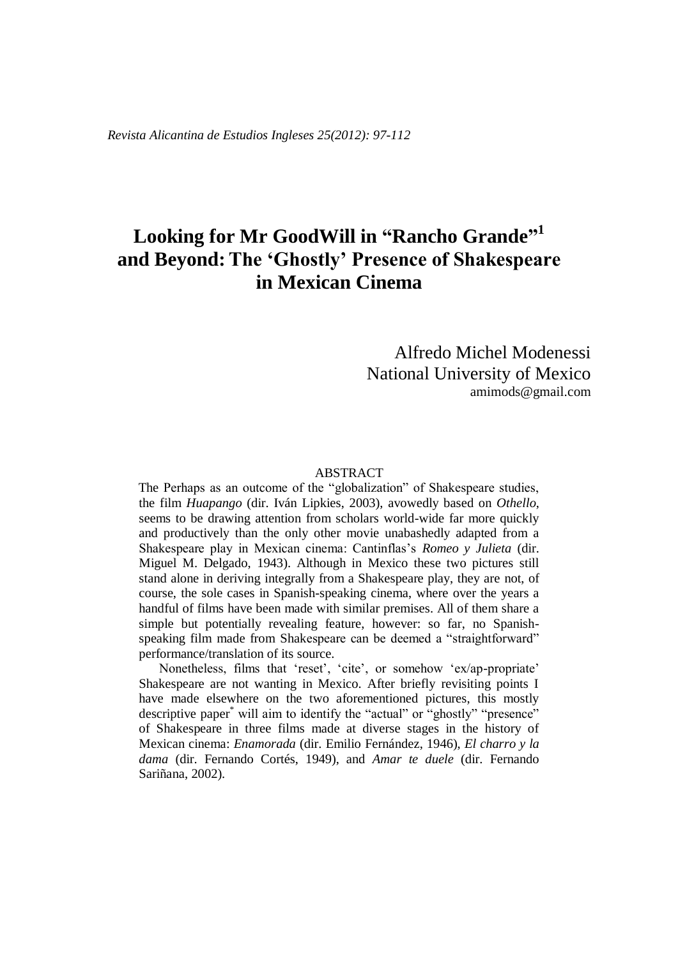*Revista Alicantina de Estudios Ingleses 25(2012): 97-112*

# **Looking for Mr GoodWill in "Rancho Grande" 1 and Beyond:The 'Ghostly' Presence of Shakespeare in Mexican Cinema**

## Alfredo Michel Modenessi National University of Mexico amimods@gmail.com

#### ABSTRACT

The Perhaps as an outcome of the "globalization" of Shakespeare studies, the film *Huapango* (dir. Iván Lipkies, 2003), avowedly based on *Othello*, seems to be drawing attention from scholars world-wide far more quickly and productively than the only other movie unabashedly adapted from a Shakespeare play in Mexican cinema: Cantinflas's *Romeo y Julieta* (dir. Miguel M. Delgado, 1943). Although in Mexico these two pictures still stand alone in deriving integrally from a Shakespeare play, they are not, of course, the sole cases in Spanish-speaking cinema, where over the years a handful of films have been made with similar premises. All of them share a simple but potentially revealing feature, however: so far, no Spanishspeaking film made from Shakespeare can be deemed a "straightforward" performance/translation of its source.

Nonetheless, films that 'reset', 'cite', or somehow 'ex/ap-propriate' Shakespeare are not wanting in Mexico. After briefly revisiting points I have made elsewhere on the two aforementioned pictures, this mostly descriptive paper<sup>\*</sup> will aim to identify the "actual" or "ghostly" "presence" of Shakespeare in three films made at diverse stages in the history of Mexican cinema: *Enamorada* (dir. Emilio Fernández, 1946), *El charro y la dama* (dir. Fernando Cortés, 1949), and *Amar te duele* (dir. Fernando Sariñana, 2002).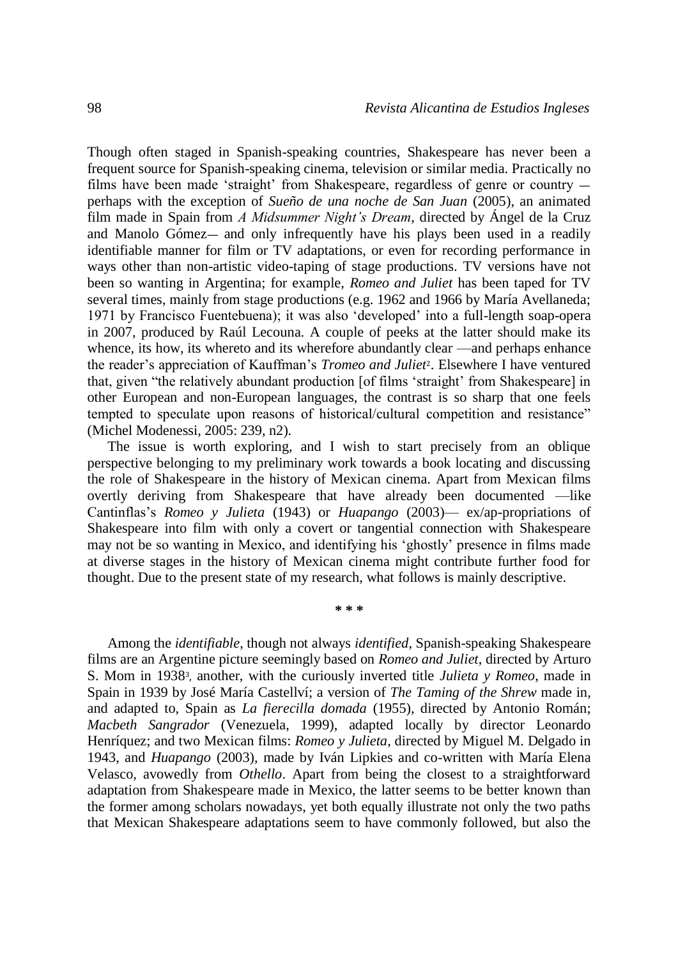Though often staged in Spanish-speaking countries, Shakespeare has never been a frequent source for Spanish-speaking cinema, television or similar media. Practically no films have been made 'straight' from Shakespeare, regardless of genre or country perhaps with the exception of *Sueño de una noche de San Juan* (2005), an animated film made in Spain from *A Midsummer Night's Dream*, directed by Ángel de la Cruz and Manolo Gómez— and only infrequently have his plays been used in a readily identifiable manner for film or TV adaptations, or even for recording performance in ways other than non-artistic video-taping of stage productions. TV versions have not been so wanting in Argentina; for example, *Romeo and Juliet* has been taped for TV several times, mainly from stage productions (e.g. 1962 and 1966 by María Avellaneda; 1971 by Francisco Fuentebuena); it was also 'developed' into a full-length soap-opera in 2007, produced by Raúl Lecouna. A couple of peeks at the latter should make its whence, its how, its whereto and its wherefore abundantly clear —and perhaps enhance the reader's appreciation of Kauffman's *Tromeo and Juliet*2. Elsewhere I have ventured that, given "the relatively abundant production [of films 'straight' from Shakespeare] in other European and non-European languages, the contrast is so sharp that one feels tempted to speculate upon reasons of historical/cultural competition and resistance" (Michel Modenessi, 2005: 239, n2).

The issue is worth exploring, and I wish to start precisely from an oblique perspective belonging to my preliminary work towards a book locating and discussing the role of Shakespeare in the history of Mexican cinema. Apart from Mexican films overtly deriving from Shakespeare that have already been documented —like Cantinflas's *Romeo y Julieta* (1943) or *Huapango* (2003)— ex/ap-propriations of Shakespeare into film with only a covert or tangential connection with Shakespeare may not be so wanting in Mexico, and identifying his 'ghostly' presence in films made at diverse stages in the history of Mexican cinema might contribute further food for thought. Due to the present state of my research, what follows is mainly descriptive.

**\* \* \***

Among the *identifiable*, though not always *identified*, Spanish-speaking Shakespeare films are an Argentine picture seemingly based on *Romeo and Juliet*, directed by Arturo S. Mom in 19383, another, with the curiously inverted title *Julieta y Romeo*, made in Spain in 1939 by José María Castellví; a version of *The Taming of the Shrew* made in, and adapted to, Spain as *La fierecilla domada* (1955), directed by Antonio Román; *Macbeth Sangrador* (Venezuela, 1999), adapted locally by director Leonardo Henríquez; and two Mexican films: *Romeo y Julieta*, directed by Miguel M. Delgado in 1943, and *Huapango* (2003), made by Iván Lipkies and co-written with María Elena Velasco, avowedly from *Othello*. Apart from being the closest to a straightforward adaptation from Shakespeare made in Mexico, the latter seems to be better known than the former among scholars nowadays, yet both equally illustrate not only the two paths that Mexican Shakespeare adaptations seem to have commonly followed, but also the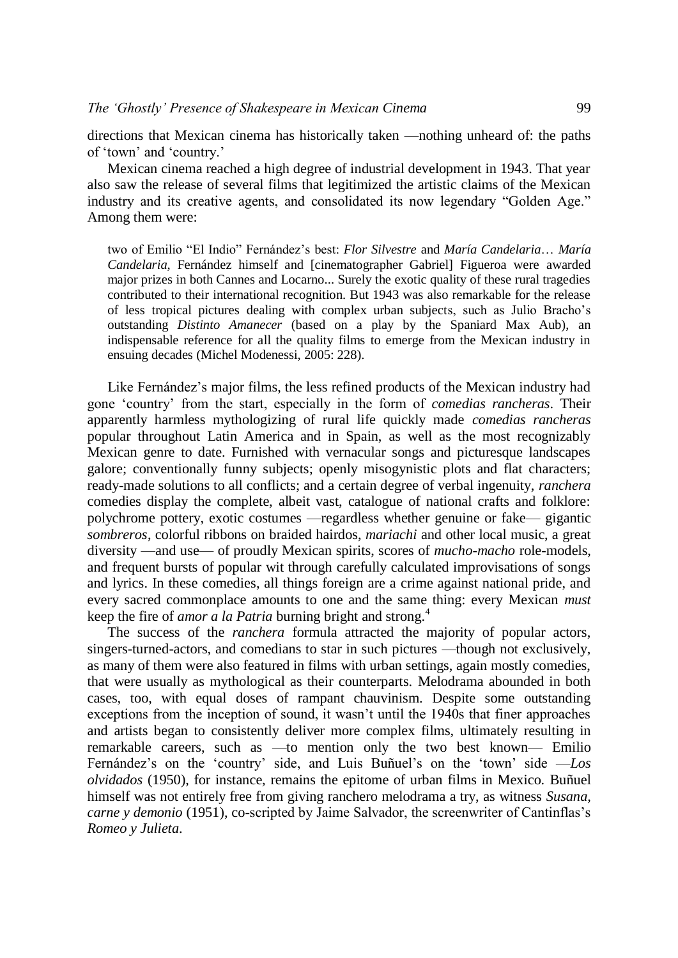directions that Mexican cinema has historically taken —nothing unheard of: the paths of 'town' and 'country.'

Mexican cinema reached a high degree of industrial development in 1943. That year also saw the release of several films that legitimized the artistic claims of the Mexican industry and its creative agents, and consolidated its now legendary "Golden Age." Among them were:

two of Emilio "El Indio" Fernández's best: *Flor Silvestre* and *María Candelaria*… *María Candelaria*, Fernández himself and [cinematographer Gabriel] Figueroa were awarded major prizes in both Cannes and Locarno... Surely the exotic quality of these rural tragedies contributed to their international recognition. But 1943 was also remarkable for the release of less tropical pictures dealing with complex urban subjects, such as Julio Bracho's outstanding *Distinto Amanecer* (based on a play by the Spaniard Max Aub), an indispensable reference for all the quality films to emerge from the Mexican industry in ensuing decades (Michel Modenessi, 2005: 228).

Like Fernández's major films, the less refined products of the Mexican industry had gone 'country' from the start, especially in the form of *comedias rancheras*. Their apparently harmless mythologizing of rural life quickly made *comedias rancheras* popular throughout Latin America and in Spain, as well as the most recognizably Mexican genre to date. Furnished with vernacular songs and picturesque landscapes galore; conventionally funny subjects; openly misogynistic plots and flat characters; ready-made solutions to all conflicts; and a certain degree of verbal ingenuity, *ranchera* comedies display the complete, albeit vast, catalogue of national crafts and folklore: polychrome pottery, exotic costumes —regardless whether genuine or fake— gigantic *sombreros*, colorful ribbons on braided hairdos, *mariachi* and other local music, a great diversity —and use— of proudly Mexican spirits, scores of *mucho-macho* role-models, and frequent bursts of popular wit through carefully calculated improvisations of songs and lyrics. In these comedies, all things foreign are a crime against national pride, and every sacred commonplace amounts to one and the same thing: every Mexican *must* keep the fire of *amor a la Patria* burning bright and strong.<sup>4</sup>

The success of the *ranchera* formula attracted the majority of popular actors, singers-turned-actors, and comedians to star in such pictures —though not exclusively, as many of them were also featured in films with urban settings, again mostly comedies, that were usually as mythological as their counterparts. Melodrama abounded in both cases, too, with equal doses of rampant chauvinism. Despite some outstanding exceptions from the inception of sound, it wasn't until the 1940s that finer approaches and artists began to consistently deliver more complex films, ultimately resulting in remarkable careers, such as —to mention only the two best known— Emilio Fernández's on the 'country' side, and Luis Buñuel's on the 'town' side —*Los olvidados* (1950), for instance, remains the epitome of urban films in Mexico. Buñuel himself was not entirely free from giving ranchero melodrama a try, as witness *Susana, carne y demonio* (1951), co-scripted by Jaime Salvador, the screenwriter of Cantinflas's *Romeo y Julieta*.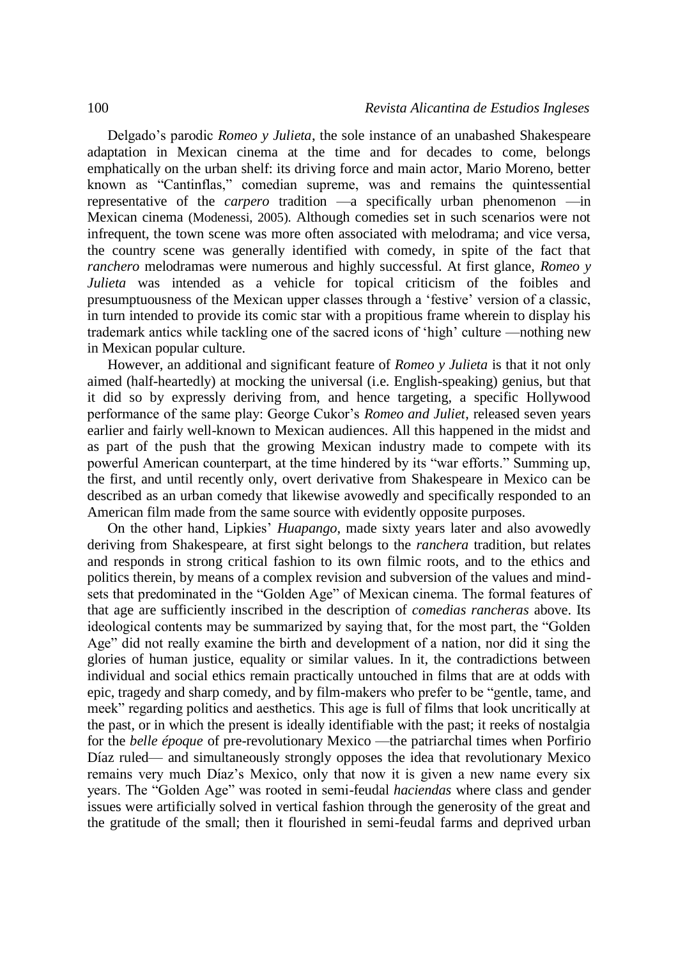Delgado's parodic *Romeo y Julieta*, the sole instance of an unabashed Shakespeare adaptation in Mexican cinema at the time and for decades to come, belongs emphatically on the urban shelf: its driving force and main actor, Mario Moreno, better known as "Cantinflas," comedian supreme, was and remains the quintessential representative of the *carpero* tradition —a specifically urban phenomenon —in Mexican cinema (Modenessi, 2005). Although comedies set in such scenarios were not infrequent, the town scene was more often associated with melodrama; and vice versa, the country scene was generally identified with comedy, in spite of the fact that *ranchero* melodramas were numerous and highly successful. At first glance, *Romeo y Julieta* was intended as a vehicle for topical criticism of the foibles and presumptuousness of the Mexican upper classes through a 'festive' version of a classic, in turn intended to provide its comic star with a propitious frame wherein to display his trademark antics while tackling one of the sacred icons of 'high' culture —nothing new in Mexican popular culture.

However, an additional and significant feature of *Romeo y Julieta* is that it not only aimed (half-heartedly) at mocking the universal (i.e. English-speaking) genius, but that it did so by expressly deriving from, and hence targeting, a specific Hollywood performance of the same play: George Cukor's *Romeo and Juliet*, released seven years earlier and fairly well-known to Mexican audiences. All this happened in the midst and as part of the push that the growing Mexican industry made to compete with its powerful American counterpart, at the time hindered by its "war efforts." Summing up, the first, and until recently only, overt derivative from Shakespeare in Mexico can be described as an urban comedy that likewise avowedly and specifically responded to an American film made from the same source with evidently opposite purposes.

On the other hand, Lipkies' *Huapango*, made sixty years later and also avowedly deriving from Shakespeare, at first sight belongs to the *ranchera* tradition, but relates and responds in strong critical fashion to its own filmic roots, and to the ethics and politics therein, by means of a complex revision and subversion of the values and mindsets that predominated in the "Golden Age" of Mexican cinema. The formal features of that age are sufficiently inscribed in the description of *comedias rancheras* above. Its ideological contents may be summarized by saying that, for the most part, the "Golden Age" did not really examine the birth and development of a nation, nor did it sing the glories of human justice, equality or similar values. In it, the contradictions between individual and social ethics remain practically untouched in films that are at odds with epic, tragedy and sharp comedy, and by film-makers who prefer to be "gentle, tame, and meek" regarding politics and aesthetics. This age is full of films that look uncritically at the past, or in which the present is ideally identifiable with the past; it reeks of nostalgia for the *belle époque* of pre-revolutionary Mexico —the patriarchal times when Porfirio Díaz ruled— and simultaneously strongly opposes the idea that revolutionary Mexico remains very much Díaz's Mexico, only that now it is given a new name every six years. The "Golden Age" was rooted in semi-feudal *haciendas* where class and gender issues were artificially solved in vertical fashion through the generosity of the great and the gratitude of the small; then it flourished in semi-feudal farms and deprived urban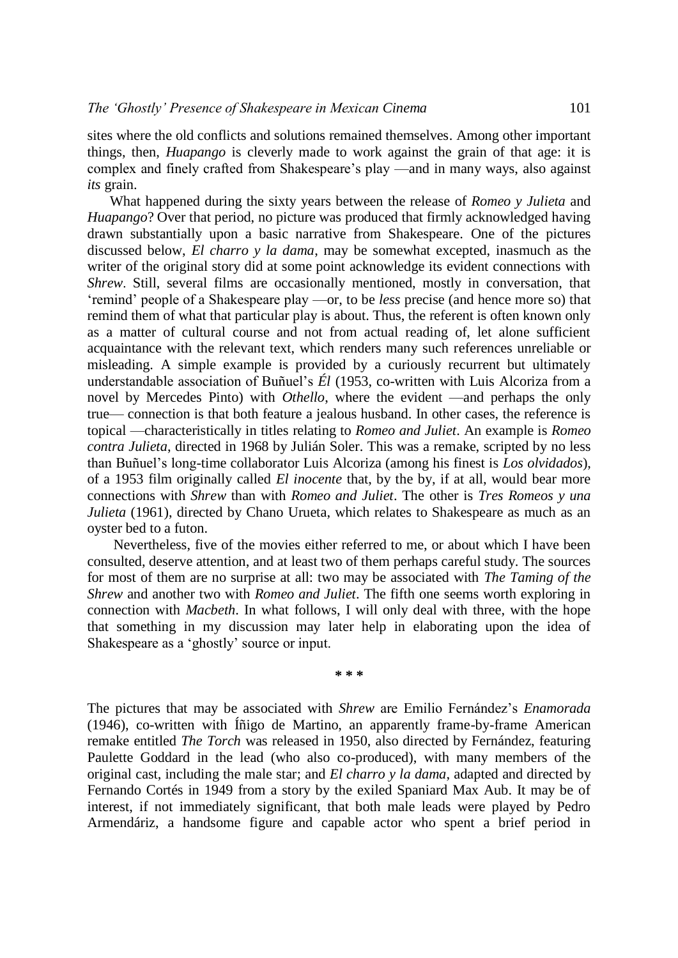sites where the old conflicts and solutions remained themselves. Among other important things, then, *Huapango* is cleverly made to work against the grain of that age: it is complex and finely crafted from Shakespeare's play —and in many ways, also against *its* grain.

What happened during the sixty years between the release of *Romeo y Julieta* and *Huapango*? Over that period, no picture was produced that firmly acknowledged having drawn substantially upon a basic narrative from Shakespeare. One of the pictures discussed below, *El charro y la dama*, may be somewhat excepted, inasmuch as the writer of the original story did at some point acknowledge its evident connections with *Shrew*. Still, several films are occasionally mentioned, mostly in conversation, that 'remind' people of a Shakespeare play —or, to be *less* precise (and hence more so) that remind them of what that particular play is about. Thus, the referent is often known only as a matter of cultural course and not from actual reading of, let alone sufficient acquaintance with the relevant text, which renders many such references unreliable or misleading. A simple example is provided by a curiously recurrent but ultimately understandable association of Buñuel's *Él* (1953, co-written with Luis Alcoriza from a novel by Mercedes Pinto) with *Othello*, where the evident —and perhaps the only true— connection is that both feature a jealous husband. In other cases, the reference is topical —characteristically in titles relating to *Romeo and Juliet*. An example is *Romeo contra Julieta*, directed in 1968 by Julián Soler. This was a remake, scripted by no less than Buñuel's long-time collaborator Luis Alcoriza (among his finest is *Los olvidados*), of a 1953 film originally called *El inocente* that, by the by, if at all, would bear more connections with *Shrew* than with *Romeo and Juliet*. The other is *Tres Romeos y una Julieta* (1961), directed by Chano Urueta, which relates to Shakespeare as much as an oyster bed to a futon.

Nevertheless, five of the movies either referred to me, or about which I have been consulted, deserve attention, and at least two of them perhaps careful study. The sources for most of them are no surprise at all: two may be associated with *The Taming of the Shrew* and another two with *Romeo and Juliet*. The fifth one seems worth exploring in connection with *Macbeth*. In what follows, I will only deal with three, with the hope that something in my discussion may later help in elaborating upon the idea of Shakespeare as a 'ghostly' source or input.

**\* \* \***

The pictures that may be associated with *Shrew* are Emilio Fernández's *Enamorada* (1946), co-written with Íñigo de Martino, an apparently frame-by-frame American remake entitled *The Torch* was released in 1950, also directed by Fernández, featuring Paulette Goddard in the lead (who also co-produced), with many members of the original cast, including the male star; and *El charro y la dama*, adapted and directed by Fernando Cortés in 1949 from a story by the exiled Spaniard Max Aub. It may be of interest, if not immediately significant, that both male leads were played by Pedro Armendáriz, a handsome figure and capable actor who spent a brief period in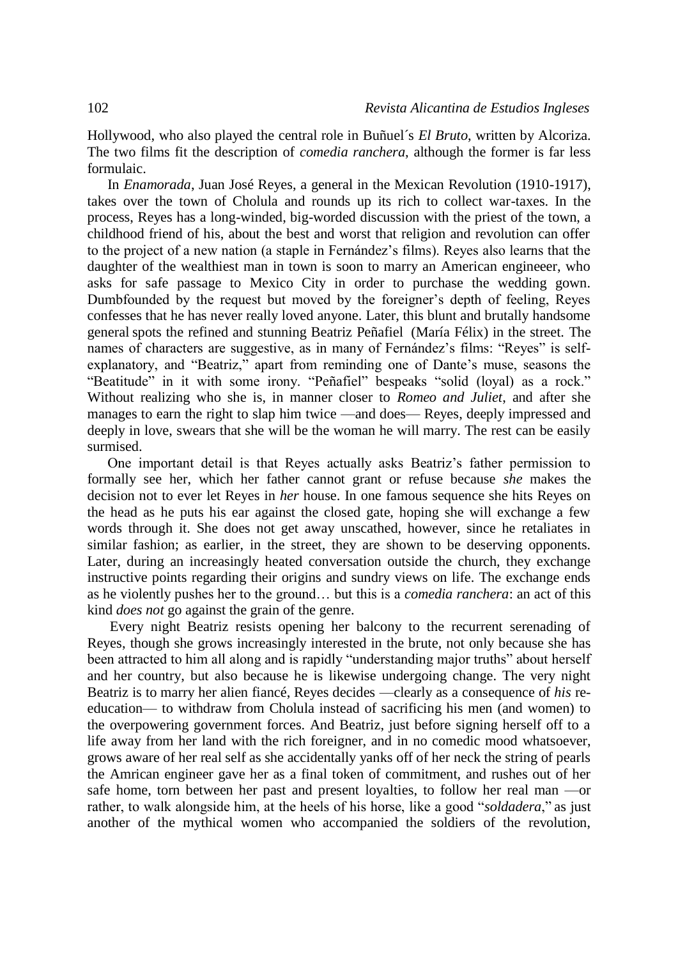Hollywood, who also played the central role in Buñuel´s *El Bruto*, written by Alcoriza. The two films fit the description of *comedia ranchera*, although the former is far less formulaic.

In *Enamorada*, Juan José Reyes, a general in the Mexican Revolution (1910-1917), takes over the town of Cholula and rounds up its rich to collect war-taxes. In the process, Reyes has a long-winded, big-worded discussion with the priest of the town, a childhood friend of his, about the best and worst that religion and revolution can offer to the project of a new nation (a staple in Fernández's films). Reyes also learns that the daughter of the wealthiest man in town is soon to marry an American engineeer, who asks for safe passage to Mexico City in order to purchase the wedding gown. Dumbfounded by the request but moved by the foreigner's depth of feeling, Reyes confesses that he has never really loved anyone. Later, this blunt and brutally handsome general spots the refined and stunning Beatriz Peñafiel (María Félix) in the street. The names of characters are suggestive, as in many of Fernández's films: "Reyes" is selfexplanatory, and "Beatriz," apart from reminding one of Dante's muse, seasons the "Beatitude" in it with some irony. "Peñafiel" bespeaks "solid (loyal) as a rock." Without realizing who she is, in manner closer to *Romeo and Juliet*, and after she manages to earn the right to slap him twice —and does— Reyes, deeply impressed and deeply in love, swears that she will be the woman he will marry. The rest can be easily surmised.

One important detail is that Reyes actually asks Beatriz's father permission to formally see her, which her father cannot grant or refuse because *she* makes the decision not to ever let Reyes in *her* house. In one famous sequence she hits Reyes on the head as he puts his ear against the closed gate, hoping she will exchange a few words through it. She does not get away unscathed, however, since he retaliates in similar fashion; as earlier, in the street, they are shown to be deserving opponents. Later, during an increasingly heated conversation outside the church, they exchange instructive points regarding their origins and sundry views on life. The exchange ends as he violently pushes her to the ground… but this is a *comedia ranchera*: an act of this kind *does not* go against the grain of the genre.

Every night Beatriz resists opening her balcony to the recurrent serenading of Reyes, though she grows increasingly interested in the brute, not only because she has been attracted to him all along and is rapidly "understanding major truths" about herself and her country, but also because he is likewise undergoing change. The very night Beatriz is to marry her alien fiancé, Reyes decides —clearly as a consequence of *his* reeducation— to withdraw from Cholula instead of sacrificing his men (and women) to the overpowering government forces. And Beatriz, just before signing herself off to a life away from her land with the rich foreigner, and in no comedic mood whatsoever, grows aware of her real self as she accidentally yanks off of her neck the string of pearls the Amrican engineer gave her as a final token of commitment, and rushes out of her safe home, torn between her past and present loyalties, to follow her real man —or rather, to walk alongside him, at the heels of his horse, like a good "*soldadera*," as just another of the mythical women who accompanied the soldiers of the revolution,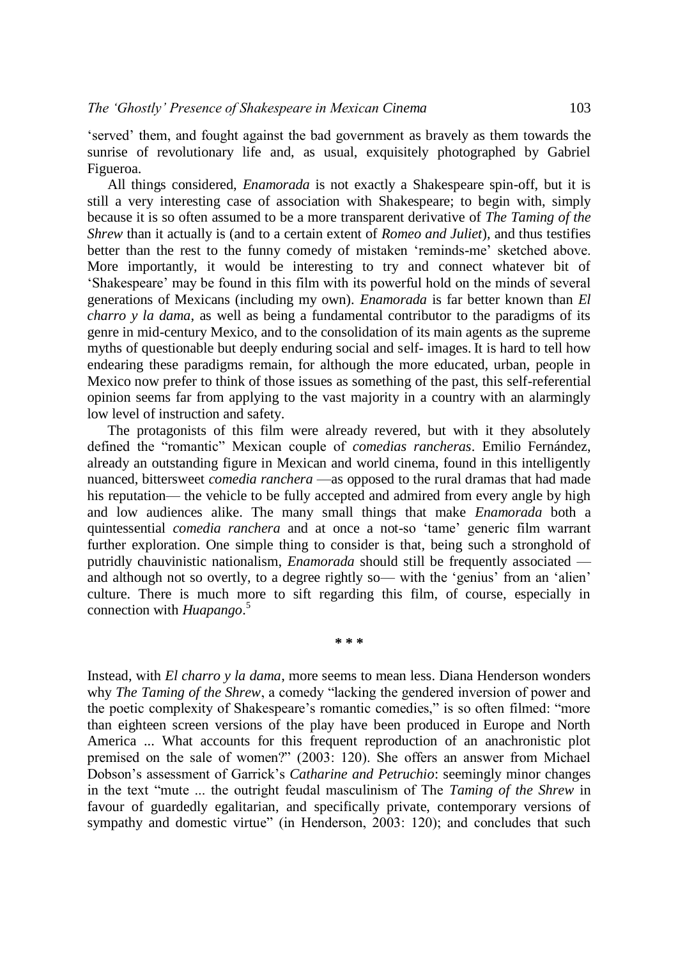'served' them, and fought against the bad government as bravely as them towards the sunrise of revolutionary life and, as usual, exquisitely photographed by Gabriel Figueroa.

All things considered, *Enamorada* is not exactly a Shakespeare spin-off, but it is still a very interesting case of association with Shakespeare; to begin with, simply because it is so often assumed to be a more transparent derivative of *The Taming of the Shrew* than it actually is (and to a certain extent of *Romeo and Juliet*), and thus testifies better than the rest to the funny comedy of mistaken 'reminds-me' sketched above. More importantly, it would be interesting to try and connect whatever bit of 'Shakespeare' may be found in this film with its powerful hold on the minds of several generations of Mexicans (including my own). *Enamorada* is far better known than *El charro y la dama*, as well as being a fundamental contributor to the paradigms of its genre in mid-century Mexico, and to the consolidation of its main agents as the supreme myths of questionable but deeply enduring social and self- images. It is hard to tell how endearing these paradigms remain, for although the more educated, urban, people in Mexico now prefer to think of those issues as something of the past, this self-referential opinion seems far from applying to the vast majority in a country with an alarmingly low level of instruction and safety.

The protagonists of this film were already revered, but with it they absolutely defined the "romantic" Mexican couple of *comedias rancheras*. Emilio Fernández, already an outstanding figure in Mexican and world cinema, found in this intelligently nuanced, bittersweet *comedia ranchera* —as opposed to the rural dramas that had made his reputation— the vehicle to be fully accepted and admired from every angle by high and low audiences alike. The many small things that make *Enamorada* both a quintessential *comedia ranchera* and at once a not-so 'tame' generic film warrant further exploration. One simple thing to consider is that, being such a stronghold of putridly chauvinistic nationalism, *Enamorada* should still be frequently associated and although not so overtly, to a degree rightly so— with the 'genius' from an 'alien' culture. There is much more to sift regarding this film, of course, especially in connection with *Huapango*. 5

**\* \* \***

Instead, with *El charro y la dama*, more seems to mean less. Diana Henderson wonders why *The Taming of the Shrew*, a comedy "lacking the gendered inversion of power and the poetic complexity of Shakespeare's romantic comedies," is so often filmed: "more than eighteen screen versions of the play have been produced in Europe and North America ... What accounts for this frequent reproduction of an anachronistic plot premised on the sale of women?" (2003: 120). She offers an answer from Michael Dobson's assessment of Garrick's *Catharine and Petruchio*: seemingly minor changes in the text "mute ... the outright feudal masculinism of The *Taming of the Shrew* in favour of guardedly egalitarian, and specifically private, contemporary versions of sympathy and domestic virtue" (in Henderson, 2003: 120); and concludes that such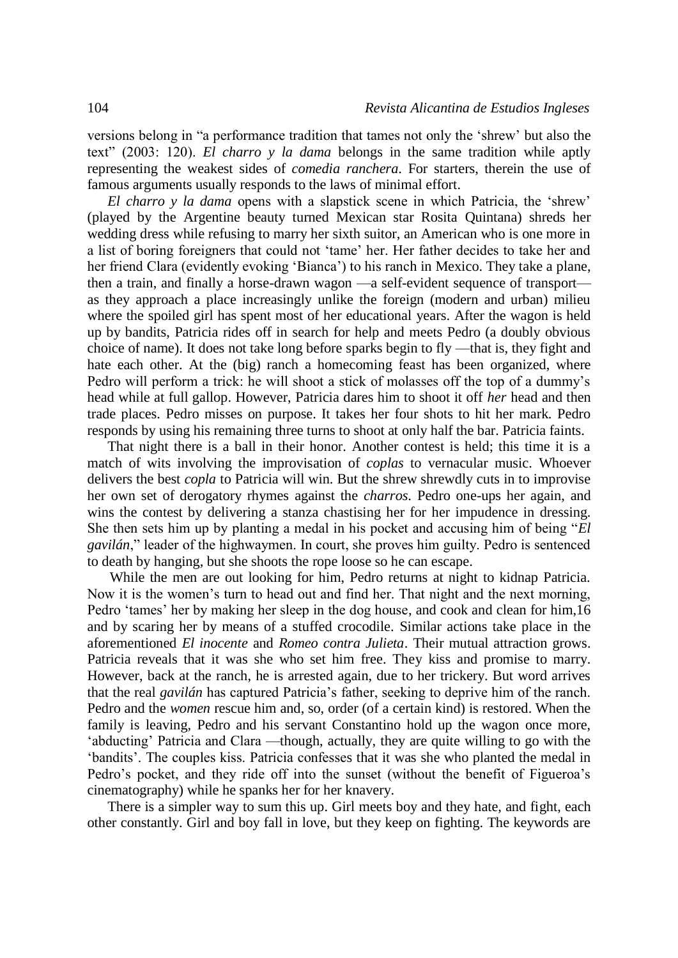versions belong in "a performance tradition that tames not only the 'shrew' but also the text" (2003: 120). *El charro y la dama* belongs in the same tradition while aptly representing the weakest sides of *comedia ranchera*. For starters, therein the use of famous arguments usually responds to the laws of minimal effort.

*El charro y la dama* opens with a slapstick scene in which Patricia, the 'shrew' (played by the Argentine beauty turned Mexican star Rosita Quintana) shreds her wedding dress while refusing to marry her sixth suitor, an American who is one more in a list of boring foreigners that could not 'tame' her. Her father decides to take her and her friend Clara (evidently evoking 'Bianca') to his ranch in Mexico. They take a plane, then a train, and finally a horse-drawn wagon —a self-evident sequence of transport as they approach a place increasingly unlike the foreign (modern and urban) milieu where the spoiled girl has spent most of her educational years. After the wagon is held up by bandits, Patricia rides off in search for help and meets Pedro (a doubly obvious choice of name). It does not take long before sparks begin to fly —that is, they fight and hate each other. At the (big) ranch a homecoming feast has been organized, where Pedro will perform a trick: he will shoot a stick of molasses off the top of a dummy's head while at full gallop. However, Patricia dares him to shoot it off *her* head and then trade places. Pedro misses on purpose. It takes her four shots to hit her mark. Pedro responds by using his remaining three turns to shoot at only half the bar. Patricia faints.

That night there is a ball in their honor. Another contest is held; this time it is a match of wits involving the improvisation of *coplas* to vernacular music. Whoever delivers the best *copla* to Patricia will win. But the shrew shrewdly cuts in to improvise her own set of derogatory rhymes against the *charros*. Pedro one-ups her again, and wins the contest by delivering a stanza chastising her for her impudence in dressing. She then sets him up by planting a medal in his pocket and accusing him of being "*El gavilán*," leader of the highwaymen. In court, she proves him guilty. Pedro is sentenced to death by hanging, but she shoots the rope loose so he can escape.

While the men are out looking for him, Pedro returns at night to kidnap Patricia. Now it is the women's turn to head out and find her. That night and the next morning, Pedro 'tames' her by making her sleep in the dog house, and cook and clean for him,16 and by scaring her by means of a stuffed crocodile. Similar actions take place in the aforementioned *El inocente* and *Romeo contra Julieta*. Their mutual attraction grows. Patricia reveals that it was she who set him free. They kiss and promise to marry. However, back at the ranch, he is arrested again, due to her trickery. But word arrives that the real *gavilán* has captured Patricia's father, seeking to deprive him of the ranch. Pedro and the *women* rescue him and, so, order (of a certain kind) is restored. When the family is leaving, Pedro and his servant Constantino hold up the wagon once more, 'abducting' Patricia and Clara —though, actually, they are quite willing to go with the 'bandits'. The couples kiss. Patricia confesses that it was she who planted the medal in Pedro's pocket, and they ride off into the sunset (without the benefit of Figueroa's cinematography) while he spanks her for her knavery.

There is a simpler way to sum this up. Girl meets boy and they hate, and fight, each other constantly. Girl and boy fall in love, but they keep on fighting. The keywords are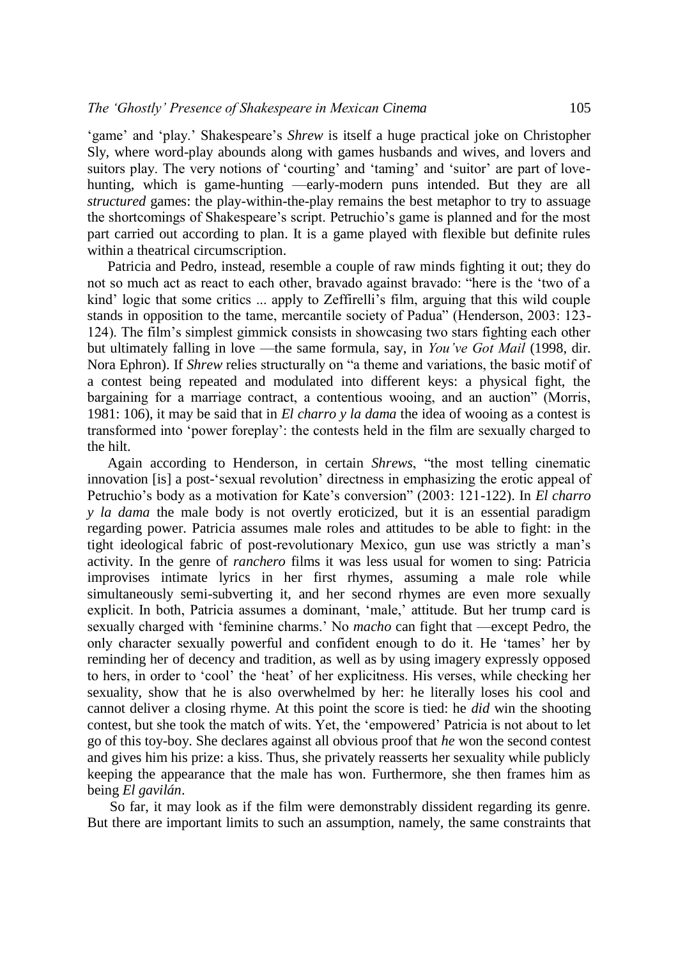'game' and 'play.' Shakespeare's *Shrew* is itself a huge practical joke on Christopher Sly, where word-play abounds along with games husbands and wives, and lovers and suitors play. The very notions of 'courting' and 'taming' and 'suitor' are part of lovehunting, which is game-hunting —early-modern puns intended. But they are all *structured* games: the play-within-the-play remains the best metaphor to try to assuage the shortcomings of Shakespeare's script. Petruchio's game is planned and for the most part carried out according to plan. It is a game played with flexible but definite rules within a theatrical circumscription.

Patricia and Pedro, instead, resemble a couple of raw minds fighting it out; they do not so much act as react to each other, bravado against bravado: "here is the 'two of a kind' logic that some critics ... apply to Zeffirelli's film, arguing that this wild couple stands in opposition to the tame, mercantile society of Padua" (Henderson, 2003: 123- 124). The film's simplest gimmick consists in showcasing two stars fighting each other but ultimately falling in love —the same formula, say, in *You've Got Mail* (1998, dir. Nora Ephron). If *Shrew* relies structurally on "a theme and variations, the basic motif of a contest being repeated and modulated into different keys: a physical fight, the bargaining for a marriage contract, a contentious wooing, and an auction" (Morris, 1981: 106), it may be said that in *El charro y la dama* the idea of wooing as a contest is transformed into 'power foreplay': the contests held in the film are sexually charged to the hilt.

Again according to Henderson, in certain *Shrews*, "the most telling cinematic innovation [is] a post-'sexual revolution' directness in emphasizing the erotic appeal of Petruchio's body as a motivation for Kate's conversion" (2003: 121-122). In *El charro y la dama* the male body is not overtly eroticized, but it is an essential paradigm regarding power. Patricia assumes male roles and attitudes to be able to fight: in the tight ideological fabric of post-revolutionary Mexico, gun use was strictly a man's activity. In the genre of *ranchero* films it was less usual for women to sing: Patricia improvises intimate lyrics in her first rhymes, assuming a male role while simultaneously semi-subverting it, and her second rhymes are even more sexually explicit. In both, Patricia assumes a dominant, 'male,' attitude. But her trump card is sexually charged with 'feminine charms.' No *macho* can fight that —except Pedro, the only character sexually powerful and confident enough to do it. He 'tames' her by reminding her of decency and tradition, as well as by using imagery expressly opposed to hers, in order to 'cool' the 'heat' of her explicitness. His verses, while checking her sexuality, show that he is also overwhelmed by her: he literally loses his cool and cannot deliver a closing rhyme. At this point the score is tied: he *did* win the shooting contest, but she took the match of wits. Yet, the 'empowered' Patricia is not about to let go of this toy-boy. She declares against all obvious proof that *he* won the second contest and gives him his prize: a kiss. Thus, she privately reasserts her sexuality while publicly keeping the appearance that the male has won. Furthermore, she then frames him as being *El gavilán*.

So far, it may look as if the film were demonstrably dissident regarding its genre. But there are important limits to such an assumption, namely, the same constraints that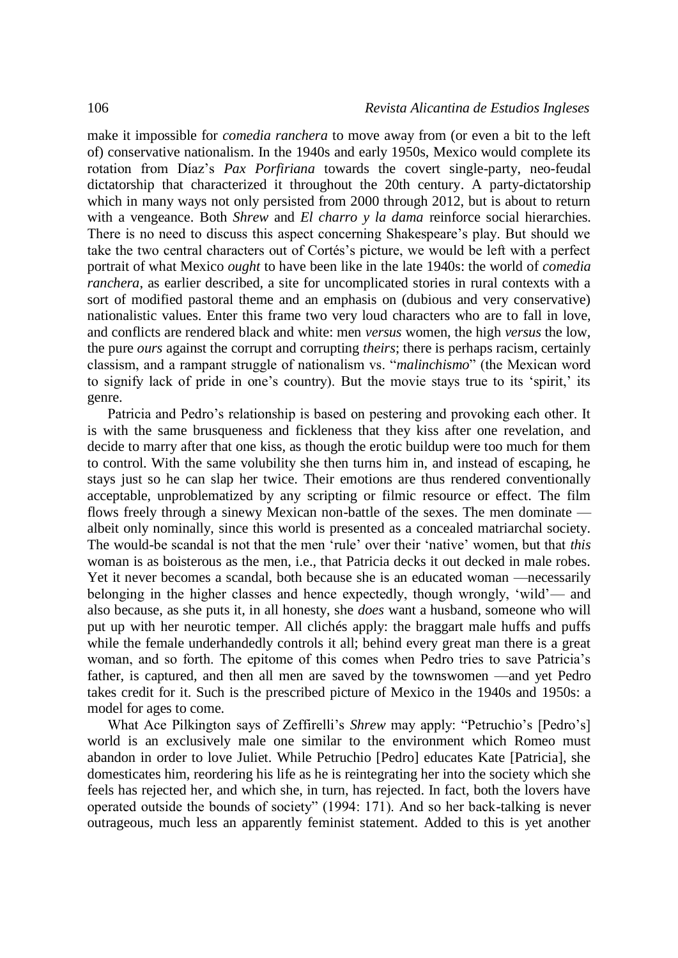make it impossible for *comedia ranchera* to move away from (or even a bit to the left of) conservative nationalism. In the 1940s and early 1950s, Mexico would complete its rotation from Díaz's *Pax Porfiriana* towards the covert single-party, neo-feudal dictatorship that characterized it throughout the 20th century. A party-dictatorship which in many ways not only persisted from 2000 through 2012, but is about to return with a vengeance. Both *Shrew* and *El charro y la dama* reinforce social hierarchies. There is no need to discuss this aspect concerning Shakespeare's play. But should we take the two central characters out of Cortés's picture, we would be left with a perfect portrait of what Mexico *ought* to have been like in the late 1940s: the world of *comedia ranchera*, as earlier described, a site for uncomplicated stories in rural contexts with a sort of modified pastoral theme and an emphasis on (dubious and very conservative) nationalistic values. Enter this frame two very loud characters who are to fall in love, and conflicts are rendered black and white: men *versus* women, the high *versus* the low, the pure *ours* against the corrupt and corrupting *theirs*; there is perhaps racism, certainly classism, and a rampant struggle of nationalism vs. "*malinchismo*" (the Mexican word to signify lack of pride in one's country). But the movie stays true to its 'spirit,' its genre.

Patricia and Pedro's relationship is based on pestering and provoking each other. It is with the same brusqueness and fickleness that they kiss after one revelation, and decide to marry after that one kiss, as though the erotic buildup were too much for them to control. With the same volubility she then turns him in, and instead of escaping, he stays just so he can slap her twice. Their emotions are thus rendered conventionally acceptable, unproblematized by any scripting or filmic resource or effect. The film flows freely through a sinewy Mexican non-battle of the sexes. The men dominate albeit only nominally, since this world is presented as a concealed matriarchal society. The would-be scandal is not that the men 'rule' over their 'native' women, but that *this* woman is as boisterous as the men, i.e., that Patricia decks it out decked in male robes. Yet it never becomes a scandal, both because she is an educated woman —necessarily belonging in the higher classes and hence expectedly, though wrongly, 'wild'— and also because, as she puts it, in all honesty, she *does* want a husband, someone who will put up with her neurotic temper. All clichés apply: the braggart male huffs and puffs while the female underhandedly controls it all; behind every great man there is a great woman, and so forth. The epitome of this comes when Pedro tries to save Patricia's father, is captured, and then all men are saved by the townswomen —and yet Pedro takes credit for it. Such is the prescribed picture of Mexico in the 1940s and 1950s: a model for ages to come.

What Ace Pilkington says of Zeffirelli's *Shrew* may apply: "Petruchio's [Pedro's] world is an exclusively male one similar to the environment which Romeo must abandon in order to love Juliet. While Petruchio [Pedro] educates Kate [Patricia], she domesticates him, reordering his life as he is reintegrating her into the society which she feels has rejected her, and which she, in turn, has rejected. In fact, both the lovers have operated outside the bounds of society" (1994: 171). And so her back-talking is never outrageous, much less an apparently feminist statement. Added to this is yet another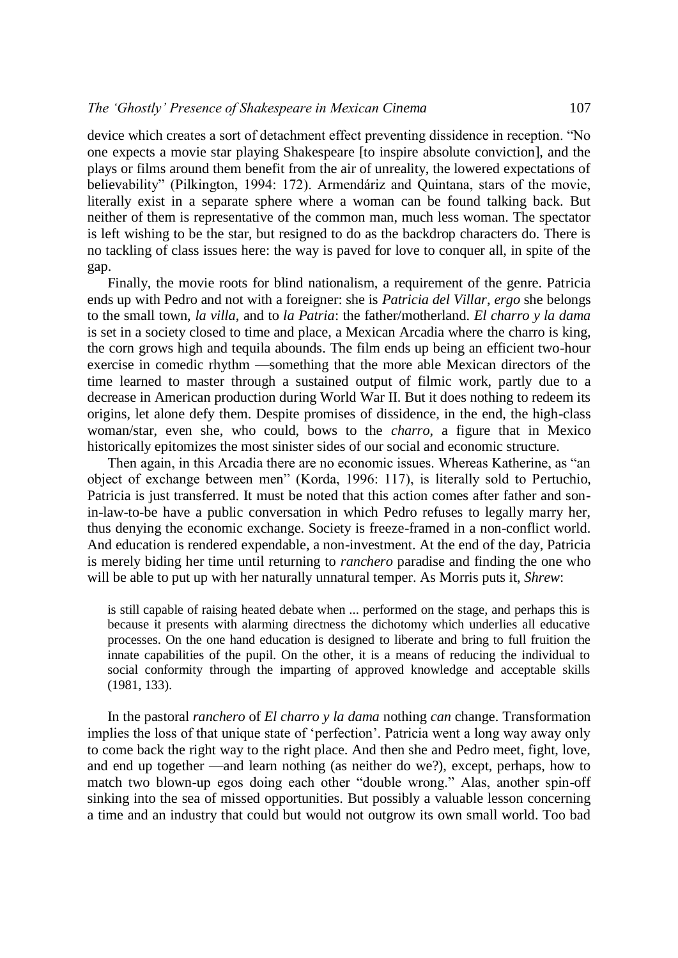device which creates a sort of detachment effect preventing dissidence in reception. "No one expects a movie star playing Shakespeare [to inspire absolute conviction], and the plays or films around them benefit from the air of unreality, the lowered expectations of believability" (Pilkington, 1994: 172). Armendáriz and Quintana, stars of the movie, literally exist in a separate sphere where a woman can be found talking back. But neither of them is representative of the common man, much less woman. The spectator is left wishing to be the star, but resigned to do as the backdrop characters do. There is no tackling of class issues here: the way is paved for love to conquer all, in spite of the gap.

Finally, the movie roots for blind nationalism, a requirement of the genre. Patricia ends up with Pedro and not with a foreigner: she is *Patricia del Villar*, *ergo* she belongs to the small town, *la villa*, and to *la Patria*: the father/motherland. *El charro y la dama* is set in a society closed to time and place, a Mexican Arcadia where the charro is king, the corn grows high and tequila abounds. The film ends up being an efficient two-hour exercise in comedic rhythm —something that the more able Mexican directors of the time learned to master through a sustained output of filmic work, partly due to a decrease in American production during World War II. But it does nothing to redeem its origins, let alone defy them. Despite promises of dissidence, in the end, the high-class woman/star, even she, who could, bows to the *charro*, a figure that in Mexico historically epitomizes the most sinister sides of our social and economic structure.

Then again, in this Arcadia there are no economic issues. Whereas Katherine, as "an object of exchange between men" (Korda, 1996: 117), is literally sold to Pertuchio, Patricia is just transferred. It must be noted that this action comes after father and sonin-law-to-be have a public conversation in which Pedro refuses to legally marry her, thus denying the economic exchange. Society is freeze-framed in a non-conflict world. And education is rendered expendable, a non-investment. At the end of the day, Patricia is merely biding her time until returning to *ranchero* paradise and finding the one who will be able to put up with her naturally unnatural temper. As Morris puts it, *Shrew*:

is still capable of raising heated debate when ... performed on the stage, and perhaps this is because it presents with alarming directness the dichotomy which underlies all educative processes. On the one hand education is designed to liberate and bring to full fruition the innate capabilities of the pupil. On the other, it is a means of reducing the individual to social conformity through the imparting of approved knowledge and acceptable skills (1981, 133).

In the pastoral *ranchero* of *El charro y la dama* nothing *can* change. Transformation implies the loss of that unique state of 'perfection'. Patricia went a long way away only to come back the right way to the right place. And then she and Pedro meet, fight, love, and end up together —and learn nothing (as neither do we?), except, perhaps, how to match two blown-up egos doing each other "double wrong." Alas, another spin-off sinking into the sea of missed opportunities. But possibly a valuable lesson concerning a time and an industry that could but would not outgrow its own small world. Too bad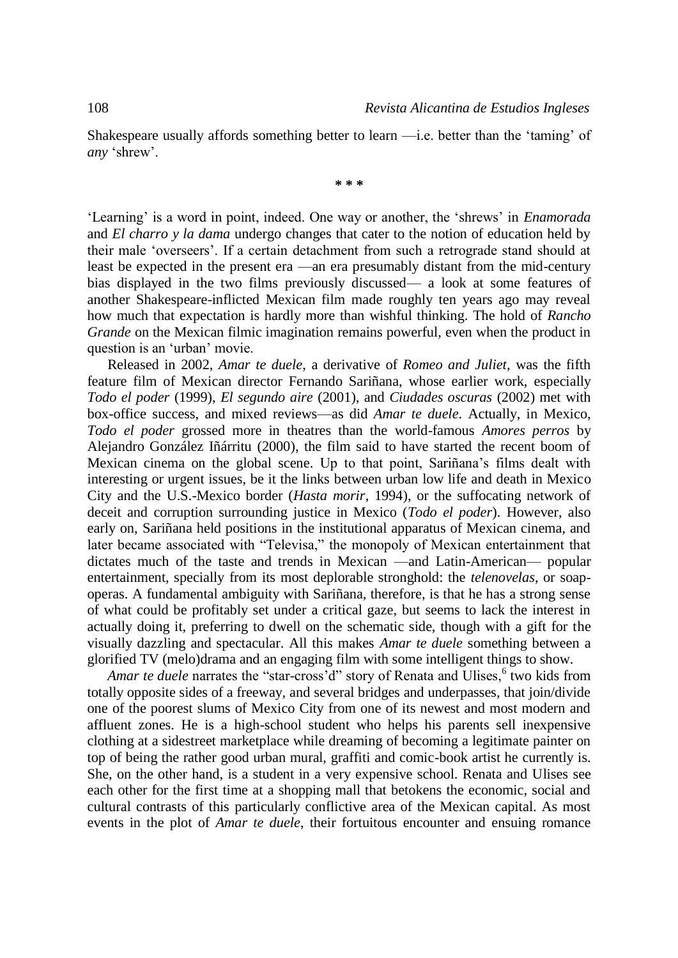Shakespeare usually affords something better to learn —i.e. better than the 'taming' of *any* 'shrew'.

**\* \* \***

'Learning' is a word in point, indeed. One way or another, the 'shrews' in *Enamorada* and *El charro y la dama* undergo changes that cater to the notion of education held by their male 'overseers'. If a certain detachment from such a retrograde stand should at least be expected in the present era —an era presumably distant from the mid-century bias displayed in the two films previously discussed— a look at some features of another Shakespeare-inflicted Mexican film made roughly ten years ago may reveal how much that expectation is hardly more than wishful thinking. The hold of *Rancho Grande* on the Mexican filmic imagination remains powerful, even when the product in question is an 'urban' movie.

Released in 2002, *Amar te duele*, a derivative of *Romeo and Juliet*, was the fifth feature film of Mexican director Fernando Sariñana, whose earlier work, especially *Todo el poder* (1999), *El segundo aire* (2001), and *Ciudades oscuras* (2002) met with box-office success, and mixed reviews—as did *Amar te duele*. Actually, in Mexico, *Todo el poder* grossed more in theatres than the world-famous *Amores perros* by Alejandro González Iñárritu (2000), the film said to have started the recent boom of Mexican cinema on the global scene. Up to that point, Sariñana's films dealt with interesting or urgent issues, be it the links between urban low life and death in Mexico City and the U.S.-Mexico border (*Hasta morir*, 1994), or the suffocating network of deceit and corruption surrounding justice in Mexico (*Todo el poder*). However, also early on, Sariñana held positions in the institutional apparatus of Mexican cinema, and later became associated with "Televisa," the monopoly of Mexican entertainment that dictates much of the taste and trends in Mexican —and Latin-American— popular entertainment, specially from its most deplorable stronghold: the *telenovelas*, or soapoperas. A fundamental ambiguity with Sariñana, therefore, is that he has a strong sense of what could be profitably set under a critical gaze, but seems to lack the interest in actually doing it, preferring to dwell on the schematic side, though with a gift for the visually dazzling and spectacular. All this makes *Amar te duele* something between a glorified TV (melo)drama and an engaging film with some intelligent things to show.

Amar te duele narrates the "star-cross'd" story of Renata and Ulises,<sup>6</sup> two kids from totally opposite sides of a freeway, and several bridges and underpasses, that join/divide one of the poorest slums of Mexico City from one of its newest and most modern and affluent zones. He is a high-school student who helps his parents sell inexpensive clothing at a sidestreet marketplace while dreaming of becoming a legitimate painter on top of being the rather good urban mural, graffiti and comic-book artist he currently is. She, on the other hand, is a student in a very expensive school. Renata and Ulises see each other for the first time at a shopping mall that betokens the economic, social and cultural contrasts of this particularly conflictive area of the Mexican capital. As most events in the plot of *Amar te duele*, their fortuitous encounter and ensuing romance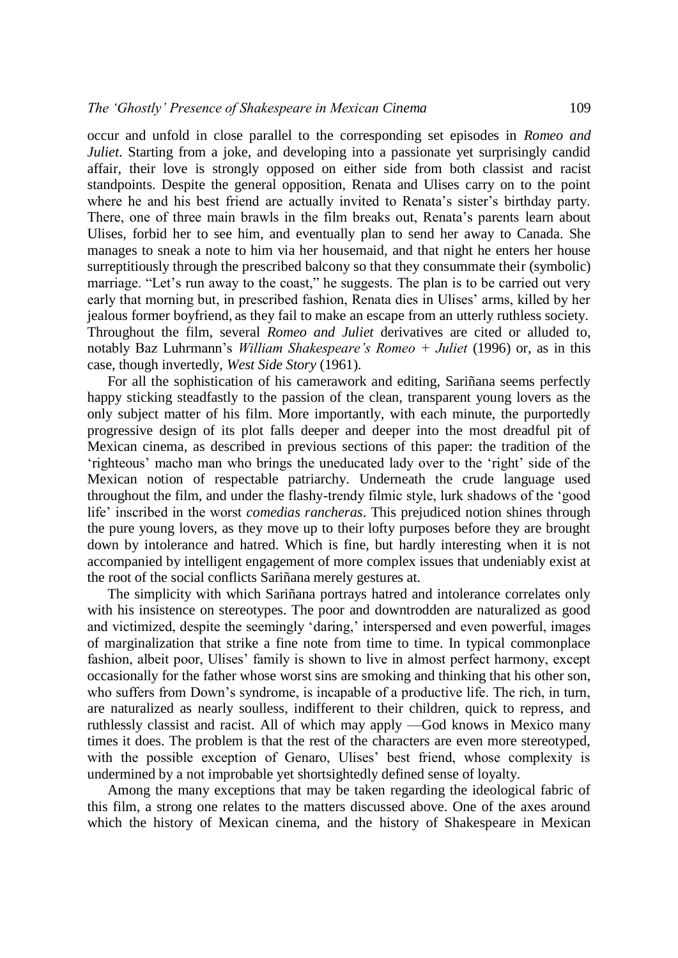occur and unfold in close parallel to the corresponding set episodes in *Romeo and Juliet*. Starting from a joke, and developing into a passionate yet surprisingly candid affair, their love is strongly opposed on either side from both classist and racist standpoints. Despite the general opposition, Renata and Ulises carry on to the point where he and his best friend are actually invited to Renata's sister's birthday party. There, one of three main brawls in the film breaks out, Renata's parents learn about Ulises, forbid her to see him, and eventually plan to send her away to Canada. She manages to sneak a note to him via her housemaid, and that night he enters her house surreptitiously through the prescribed balcony so that they consummate their (symbolic) marriage. "Let's run away to the coast," he suggests. The plan is to be carried out very early that morning but, in prescribed fashion, Renata dies in Ulises' arms, killed by her jealous former boyfriend, as they fail to make an escape from an utterly ruthless society. Throughout the film, several *Romeo and Juliet* derivatives are cited or alluded to, notably Baz Luhrmann's *William Shakespeare's Romeo + Juliet* (1996) or, as in this case, though invertedly, *West Side Story* (1961).

For all the sophistication of his camerawork and editing, Sariñana seems perfectly happy sticking steadfastly to the passion of the clean, transparent young lovers as the only subject matter of his film. More importantly, with each minute, the purportedly progressive design of its plot falls deeper and deeper into the most dreadful pit of Mexican cinema, as described in previous sections of this paper: the tradition of the 'righteous' macho man who brings the uneducated lady over to the 'right' side of the Mexican notion of respectable patriarchy. Underneath the crude language used throughout the film, and under the flashy-trendy filmic style, lurk shadows of the 'good life' inscribed in the worst *comedias rancheras*. This prejudiced notion shines through the pure young lovers, as they move up to their lofty purposes before they are brought down by intolerance and hatred. Which is fine, but hardly interesting when it is not accompanied by intelligent engagement of more complex issues that undeniably exist at the root of the social conflicts Sariñana merely gestures at.

The simplicity with which Sariñana portrays hatred and intolerance correlates only with his insistence on stereotypes. The poor and downtrodden are naturalized as good and victimized, despite the seemingly 'daring,' interspersed and even powerful, images of marginalization that strike a fine note from time to time. In typical commonplace fashion, albeit poor, Ulises' family is shown to live in almost perfect harmony, except occasionally for the father whose worst sins are smoking and thinking that his other son, who suffers from Down's syndrome, is incapable of a productive life. The rich, in turn, are naturalized as nearly soulless, indifferent to their children, quick to repress, and ruthlessly classist and racist. All of which may apply —God knows in Mexico many times it does. The problem is that the rest of the characters are even more stereotyped, with the possible exception of Genaro, Ulises' best friend, whose complexity is undermined by a not improbable yet shortsightedly defined sense of loyalty.

Among the many exceptions that may be taken regarding the ideological fabric of this film, a strong one relates to the matters discussed above. One of the axes around which the history of Mexican cinema, and the history of Shakespeare in Mexican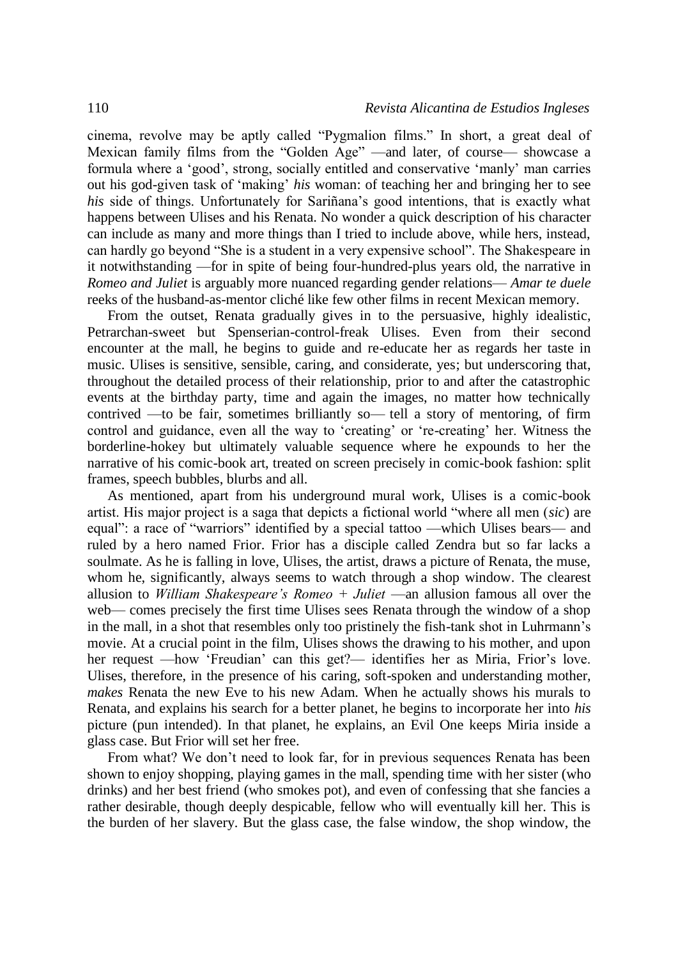cinema, revolve may be aptly called "Pygmalion films." In short, a great deal of Mexican family films from the "Golden Age" —and later, of course— showcase a formula where a 'good', strong, socially entitled and conservative 'manly' man carries out his god-given task of 'making' *his* woman: of teaching her and bringing her to see *his* side of things. Unfortunately for Sariñana's good intentions, that is exactly what happens between Ulises and his Renata. No wonder a quick description of his character can include as many and more things than I tried to include above, while hers, instead, can hardly go beyond "She is a student in a very expensive school". The Shakespeare in it notwithstanding —for in spite of being four-hundred-plus years old, the narrative in *Romeo and Juliet* is arguably more nuanced regarding gender relations— *Amar te duele* reeks of the husband-as-mentor cliché like few other films in recent Mexican memory.

From the outset, Renata gradually gives in to the persuasive, highly idealistic, Petrarchan-sweet but Spenserian-control-freak Ulises. Even from their second encounter at the mall, he begins to guide and re-educate her as regards her taste in music. Ulises is sensitive, sensible, caring, and considerate, yes; but underscoring that, throughout the detailed process of their relationship, prior to and after the catastrophic events at the birthday party, time and again the images, no matter how technically contrived —to be fair, sometimes brilliantly so— tell a story of mentoring, of firm control and guidance, even all the way to 'creating' or 're-creating' her. Witness the borderline-hokey but ultimately valuable sequence where he expounds to her the narrative of his comic-book art, treated on screen precisely in comic-book fashion: split frames, speech bubbles, blurbs and all.

As mentioned, apart from his underground mural work, Ulises is a comic-book artist. His major project is a saga that depicts a fictional world "where all men (*sic*) are equal": a race of "warriors" identified by a special tattoo —which Ulises bears— and ruled by a hero named Frior. Frior has a disciple called Zendra but so far lacks a soulmate. As he is falling in love, Ulises, the artist, draws a picture of Renata, the muse, whom he, significantly, always seems to watch through a shop window. The clearest allusion to *William Shakespeare's Romeo + Juliet* —an allusion famous all over the web— comes precisely the first time Ulises sees Renata through the window of a shop in the mall, in a shot that resembles only too pristinely the fish-tank shot in Luhrmann's movie. At a crucial point in the film, Ulises shows the drawing to his mother, and upon her request —how 'Freudian' can this get?— identifies her as Miria, Frior's love. Ulises, therefore, in the presence of his caring, soft-spoken and understanding mother, *makes* Renata the new Eve to his new Adam. When he actually shows his murals to Renata, and explains his search for a better planet, he begins to incorporate her into *his* picture (pun intended). In that planet, he explains, an Evil One keeps Miria inside a glass case. But Frior will set her free.

From what? We don't need to look far, for in previous sequences Renata has been shown to enjoy shopping, playing games in the mall, spending time with her sister (who drinks) and her best friend (who smokes pot), and even of confessing that she fancies a rather desirable, though deeply despicable, fellow who will eventually kill her. This is the burden of her slavery. But the glass case, the false window, the shop window, the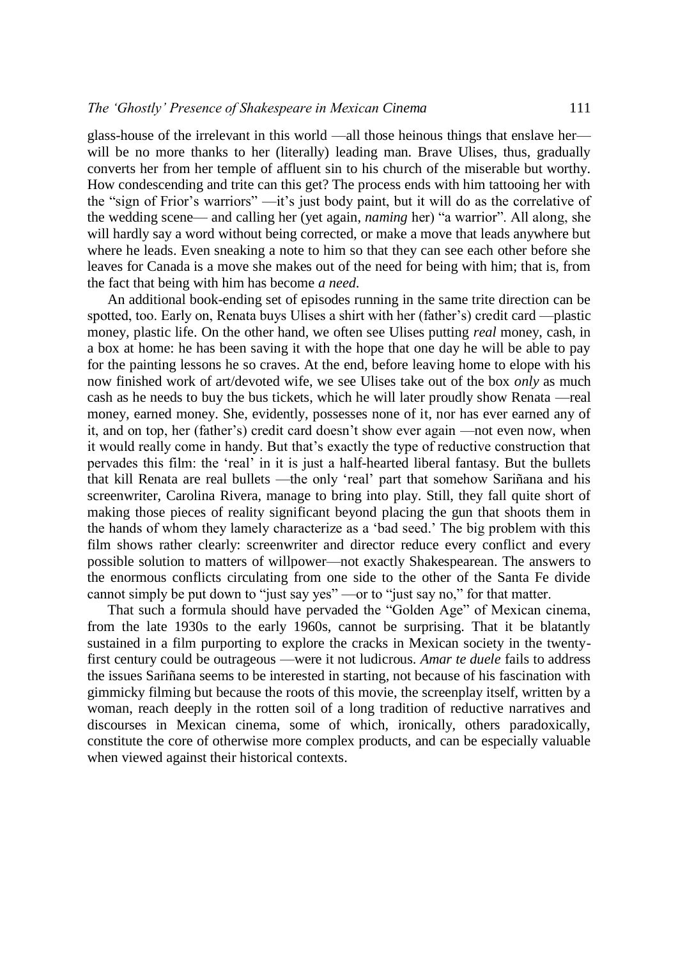glass-house of the irrelevant in this world —all those heinous things that enslave her will be no more thanks to her (literally) leading man. Brave Ulises, thus, gradually converts her from her temple of affluent sin to his church of the miserable but worthy. How condescending and trite can this get? The process ends with him tattooing her with the "sign of Frior's warriors" —it's just body paint, but it will do as the correlative of the wedding scene— and calling her (yet again, *naming* her) "a warrior". All along, she will hardly say a word without being corrected, or make a move that leads anywhere but where he leads. Even sneaking a note to him so that they can see each other before she leaves for Canada is a move she makes out of the need for being with him; that is, from the fact that being with him has become *a need*.

An additional book-ending set of episodes running in the same trite direction can be spotted, too. Early on, Renata buys Ulises a shirt with her (father's) credit card —plastic money, plastic life. On the other hand, we often see Ulises putting *real* money, cash, in a box at home: he has been saving it with the hope that one day he will be able to pay for the painting lessons he so craves. At the end, before leaving home to elope with his now finished work of art/devoted wife, we see Ulises take out of the box *only* as much cash as he needs to buy the bus tickets, which he will later proudly show Renata —real money, earned money. She, evidently, possesses none of it, nor has ever earned any of it, and on top, her (father's) credit card doesn't show ever again —not even now, when it would really come in handy. But that's exactly the type of reductive construction that pervades this film: the 'real' in it is just a half-hearted liberal fantasy. But the bullets that kill Renata are real bullets —the only 'real' part that somehow Sariñana and his screenwriter, Carolina Rivera, manage to bring into play. Still, they fall quite short of making those pieces of reality significant beyond placing the gun that shoots them in the hands of whom they lamely characterize as a 'bad seed.' The big problem with this film shows rather clearly: screenwriter and director reduce every conflict and every possible solution to matters of willpower—not exactly Shakespearean. The answers to the enormous conflicts circulating from one side to the other of the Santa Fe divide cannot simply be put down to "just say yes" —or to "just say no," for that matter.

That such a formula should have pervaded the "Golden Age" of Mexican cinema, from the late 1930s to the early 1960s, cannot be surprising. That it be blatantly sustained in a film purporting to explore the cracks in Mexican society in the twentyfirst century could be outrageous —were it not ludicrous. *Amar te duele* fails to address the issues Sariñana seems to be interested in starting, not because of his fascination with gimmicky filming but because the roots of this movie, the screenplay itself, written by a woman, reach deeply in the rotten soil of a long tradition of reductive narratives and discourses in Mexican cinema, some of which, ironically, others paradoxically, constitute the core of otherwise more complex products, and can be especially valuable when viewed against their historical contexts.